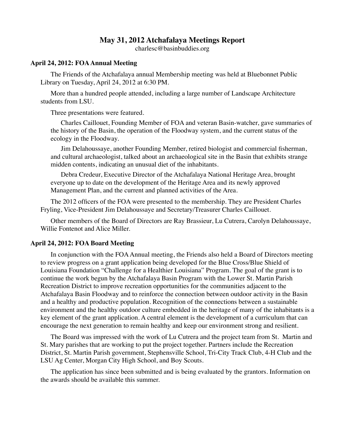# **May 31, 2012 Atchafalaya Meetings Report**

charlesc@basinbuddies.org

### **April 24, 2012: FOA Annual Meeting**

The Friends of the Atchafalaya annual Membership meeting was held at Bluebonnet Public Library on Tuesday, April 24, 2012 at 6:30 PM.

More than a hundred people attended, including a large number of Landscape Architecture students from LSU.

Three presentations were featured.

Charles Caillouet, Founding Member of FOA and veteran Basin-watcher, gave summaries of the history of the Basin, the operation of the Floodway system, and the current status of the ecology in the Floodway.

Jim Delahoussaye, another Founding Member, retired biologist and commercial fisherman, and cultural archaeologist, talked about an archaeological site in the Basin that exhibits strange midden contents, indicating an unusual diet of the inhabitants.

Debra Credeur, Executive Director of the Atchafalaya National Heritage Area, brought everyone up to date on the development of the Heritage Area and its newly approved Management Plan, and the current and planned activities of the Area.

The 2012 officers of the FOA were presented to the membership. They are President Charles Fryling, Vice-President Jim Delahoussaye and Secretary/Treasurer Charles Caillouet.

Other members of the Board of Directors are Ray Brassieur, Lu Cutrera, Carolyn Delahoussaye, Willie Fontenot and Alice Miller.

### **April 24, 2012: FOA Board Meeting**

In conjunction with the FOA Annual meeting, the Friends also held a Board of Directors meeting to review progress on a grant application being developed for the Blue Cross/Blue Shield of Louisiana Foundation "Challenge for a Healthier Louisiana" Program. The goal of the grant is to continue the work begun by the Atchafalaya Basin Program with the Lower St. Martin Parish Recreation District to improve recreation opportunities for the communities adjacent to the Atchafalaya Basin Floodway and to reinforce the connection between outdoor activity in the Basin and a healthy and productive population. Recognition of the connections between a sustainable environment and the healthy outdoor culture embedded in the heritage of many of the inhabitants is a key element of the grant application. A central element is the development of a curriculum that can encourage the next generation to remain healthy and keep our environment strong and resilient.

The Board was impressed with the work of Lu Cutrera and the project team from St. Martin and St. Mary parishes that are working to put the project together. Partners include the Recreation District, St. Martin Parish government, Stephensville School, Tri-City Track Club, 4-H Club and the LSU Ag Center, Morgan City High School, and Boy Scouts.

The application has since been submitted and is being evaluated by the grantors. Information on the awards should be available this summer.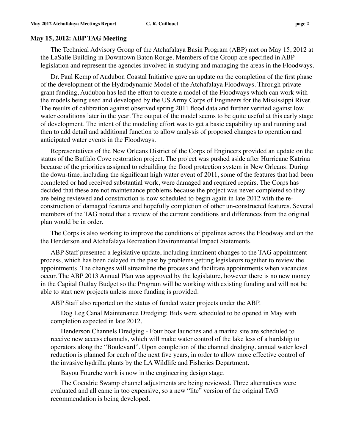#### **May 15, 2012: ABP TAG Meeting**

The Technical Advisory Group of the Atchafalaya Basin Program (ABP) met on May 15, 2012 at the LaSalle Building in Downtown Baton Rouge. Members of the Group are specified in ABP legislation and represent the agencies involved in studying and managing the areas in the Floodways.

Dr. Paul Kemp of Audubon Coastal Initiative gave an update on the completion of the first phase of the development of the Hydrodynamic Model of the Atchafalaya Floodways. Through private grant funding, Audubon has led the effort to create a model of the Floodways which can work with the models being used and developed by the US Army Corps of Engineers for the Mississippi River. The results of calibration against observed spring 2011 flood data and further verified against low water conditions later in the year. The output of the model seems to be quite useful at this early stage of development. The intent of the modeling effort was to get a basic capability up and running and then to add detail and additional function to allow analysis of proposed changes to operation and anticipated water events in the Floodways.

Representatives of the New Orleans District of the Corps of Engineers provided an update on the status of the Buffalo Cove restoration project. The project was pushed aside after Hurricane Katrina because of the priorities assigned to rebuilding the flood protection system in New Orleans. During the down-time, including the significant high water event of 2011, some of the features that had been completed or had received substantial work, were damaged and required repairs. The Corps has decided that these are not maintenance problems because the project was never completed so they are being reviewed and construction is now scheduled to begin again in late 2012 with the reconstruction of damaged features and hopefully completion of other un-constructed features. Several members of the TAG noted that a review of the current conditions and differences from the original plan would be in order.

The Corps is also working to improve the conditions of pipelines across the Floodway and on the the Henderson and Atchafalaya Recreation Environmental Impact Statements.

ABP Staff presented a legislative update, including imminent changes to the TAG appointment process, which has been delayed in the past by problems getting legislators together to review the appointments. The changes will streamline the process and facilitate appointments when vacancies occur. The ABP 2013 Annual Plan was approved by the legislature, however there is no new money in the Capital Outlay Budget so the Program will be working with existing funding and will not be able to start new projects unless more funding is provided.

ABP Staff also reported on the status of funded water projects under the ABP.

Dog Leg Canal Maintenance Dredging: Bids were scheduled to be opened in May with completion expected in late 2012.

Henderson Channels Dredging - Four boat launches and a marina site are scheduled to receive new access channels, which will make water control of the lake less of a hardship to operators along the "Boulevard". Upon completion of the channel dredging, annual water level reduction is planned for each of the next five years, in order to allow more effective control of the invasive hydrilla plants by the LA Wildlife and Fisheries Department.

Bayou Fourche work is now in the engineering design stage.

The Cocodrie Swamp channel adjustments are being reviewed. Three alternatives were evaluated and all came in too expensive, so a new "lite" version of the original TAG recommendation is being developed.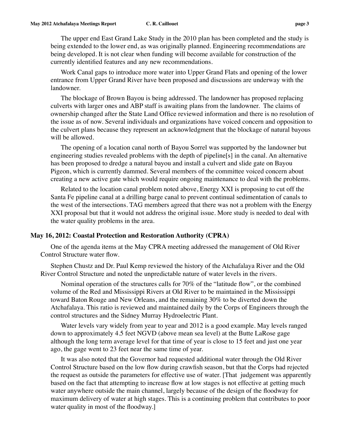The upper end East Grand Lake Study in the 2010 plan has been completed and the study is being extended to the lower end, as was originally planned. Engineering recommendations are being developed. It is not clear when funding will become available for construction of the currently identified features and any new recommendations.

Work Canal gaps to introduce more water into Upper Grand Flats and opening of the lower entrance from Upper Grand River have been proposed and discussions are underway with the landowner.

The blockage of Brown Bayou is being addressed. The landowner has proposed replacing culverts with larger ones and ABP staff is awaiting plans from the landowner. The claims of ownership changed after the State Land Office reviewed information and there is no resolution of the issue as of now. Several individuals and organizations have voiced concern and opposition to the culvert plans because they represent an acknowledgment that the blockage of natural bayous will be allowed.

The opening of a location canal north of Bayou Sorrel was supported by the landowner but engineering studies revealed problems with the depth of pipeline[s] in the canal. An alternative has been proposed to dredge a natural bayou and install a culvert and slide gate on Bayou Pigeon, which is currently dammed. Several members of the committee voiced concern about creating a new active gate which would require ongoing maintenance to deal with the problems.

Related to the location canal problem noted above, Energy XXI is proposing to cut off the Santa Fe pipeline canal at a drilling barge canal to prevent continual sedimentation of canals to the west of the intersections. TAG members agreed that there was not a problem with the Energy XXI proposal but that it would not address the original issue. More study is needed to deal with the water quality problems in the area.

#### **May 16, 2012: Coastal Protection and Restoration Authority (CPRA)**

One of the agenda items at the May CPRA meeting addressed the management of Old River Control Structure water flow.

Stephen Chustz and Dr. Paul Kemp reviewed the history of the Atchafalaya River and the Old River Control Structure and noted the unpredictable nature of water levels in the rivers.

Nominal operation of the structures calls for 70% of the "latitude flow", or the combined volume of the Red and Mississippi Rivers at Old River to be maintained in the Mississippi toward Baton Rouge and New Orleans, and the remaining 30% to be diverted down the Atchafalaya. This ratio is reviewed and maintained daily by the Corps of Engineers through the control structures and the Sidney Murray Hydroelectric Plant.

Water levels vary widely from year to year and 2012 is a good example. May levels ranged down to approximately 4.5 feet NGVD (above mean sea level) at the Butte LaRose gage although the long term average level for that time of year is close to 15 feet and just one year ago, the gage went to 23 feet near the same time of year.

It was also noted that the Governor had requested additional water through the Old River Control Structure based on the low flow during crawfish season, but that the Corps had rejected the request as outside the parameters for effective use of water. [That judgement was apparently based on the fact that attempting to increase flow at low stages is not effective at getting much water anywhere outside the main channel, largely because of the design of the floodway for maximum delivery of water at high stages. This is a continuing problem that contributes to poor water quality in most of the floodway.]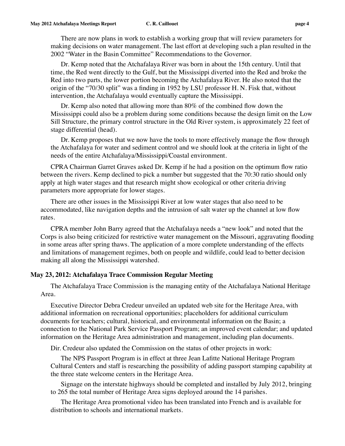There are now plans in work to establish a working group that will review parameters for making decisions on water management. The last effort at developing such a plan resulted in the 2002 "Water in the Basin Committee" Recommendations to the Governor.

Dr. Kemp noted that the Atchafalaya River was born in about the 15th century. Until that time, the Red went directly to the Gulf, but the Mississippi diverted into the Red and broke the Red into two parts, the lower portion becoming the Atchafalaya River. He also noted that the origin of the "70/30 split" was a finding in 1952 by LSU professor H. N. Fisk that, without intervention, the Atchafalaya would eventually capture the Mississippi.

Dr. Kemp also noted that allowing more than 80% of the combined flow down the Mississippi could also be a problem during some conditions because the design limit on the Low Sill Structure, the primary control structure in the Old River system, is approximately 22 feet of stage differential (head).

Dr. Kemp proposes that we now have the tools to more effectively manage the flow through the Atchafalaya for water and sediment control and we should look at the criteria in light of the needs of the entire Atchafalaya/Mississippi/Coastal environment.

CPRA Chairman Garret Graves asked Dr. Kemp if he had a position on the optimum flow ratio between the rivers. Kemp declined to pick a number but suggested that the 70:30 ratio should only apply at high water stages and that research might show ecological or other criteria driving parameters more appropriate for lower stages.

There are other issues in the Mississippi River at low water stages that also need to be accommodated, like navigation depths and the intrusion of salt water up the channel at low flow rates.

CPRA member John Barry agreed that the Atchafalaya needs a "new look" and noted that the Corps is also being criticized for restrictive water management on the Missouri, aggravating flooding in some areas after spring thaws. The application of a more complete understanding of the effects and limitations of management regimes, both on people and wildlife, could lead to better decision making all along the Mississippi watershed.

## **May 23, 2012: Atchafalaya Trace Commission Regular Meeting**

The Atchafalaya Trace Commission is the managing entity of the Atchafalaya National Heritage Area.

Executive Director Debra Credeur unveiled an updated web site for the Heritage Area, with additional information on recreational opportunities; placeholders for additional curriculum documents for teachers; cultural, historical, and environmental information on the Basin; a connection to the National Park Service Passport Program; an improved event calendar; and updated information on the Heritage Area administration and management, including plan documents.

Dir. Credeur also updated the Commission on the status of other projects in work:

The NPS Passport Program is in effect at three Jean Lafitte National Heritage Program Cultural Centers and staff is researching the possibility of adding passport stamping capability at the three state welcome centers in the Heritage Area.

Signage on the interstate highways should be completed and installed by July 2012, bringing to 265 the total number of Heritage Area signs deployed around the 14 parishes.

The Heritage Area promotional video has been translated into French and is available for distribution to schools and international markets.